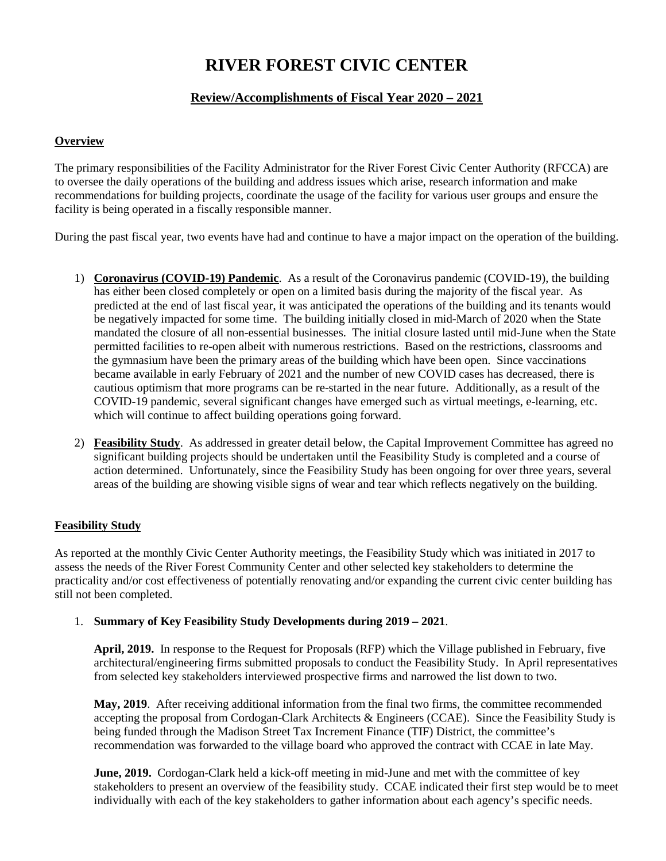# **RIVER FOREST CIVIC CENTER**

# **Review/Accomplishments of Fiscal Year 2020 – 2021**

# **Overview**

The primary responsibilities of the Facility Administrator for the River Forest Civic Center Authority (RFCCA) are to oversee the daily operations of the building and address issues which arise, research information and make recommendations for building projects, coordinate the usage of the facility for various user groups and ensure the facility is being operated in a fiscally responsible manner.

During the past fiscal year, two events have had and continue to have a major impact on the operation of the building.

- 1) **Coronavirus (COVID-19) Pandemic**. As a result of the Coronavirus pandemic (COVID-19), the building has either been closed completely or open on a limited basis during the majority of the fiscal year. As predicted at the end of last fiscal year, it was anticipated the operations of the building and its tenants would be negatively impacted for some time. The building initially closed in mid-March of 2020 when the State mandated the closure of all non-essential businesses. The initial closure lasted until mid-June when the State permitted facilities to re-open albeit with numerous restrictions. Based on the restrictions, classrooms and the gymnasium have been the primary areas of the building which have been open. Since vaccinations became available in early February of 2021 and the number of new COVID cases has decreased, there is cautious optimism that more programs can be re-started in the near future. Additionally, as a result of the COVID-19 pandemic, several significant changes have emerged such as virtual meetings, e-learning, etc. which will continue to affect building operations going forward.
- 2) **Feasibility Study**. As addressed in greater detail below, the Capital Improvement Committee has agreed no significant building projects should be undertaken until the Feasibility Study is completed and a course of action determined. Unfortunately, since the Feasibility Study has been ongoing for over three years, several areas of the building are showing visible signs of wear and tear which reflects negatively on the building.

# **Feasibility Study**

As reported at the monthly Civic Center Authority meetings, the Feasibility Study which was initiated in 2017 to assess the needs of the River Forest Community Center and other selected key stakeholders to determine the practicality and/or cost effectiveness of potentially renovating and/or expanding the current civic center building has still not been completed.

# 1. **Summary of Key Feasibility Study Developments during 2019 – 2021**.

**April, 2019.** In response to the Request for Proposals (RFP) which the Village published in February, five architectural/engineering firms submitted proposals to conduct the Feasibility Study. In April representatives from selected key stakeholders interviewed prospective firms and narrowed the list down to two.

May, 2019. After receiving additional information from the final two firms, the committee recommended accepting the proposal from Cordogan-Clark Architects & Engineers (CCAE). Since the Feasibility Study is being funded through the Madison Street Tax Increment Finance (TIF) District, the committee's recommendation was forwarded to the village board who approved the contract with CCAE in late May.

**June, 2019.** Cordogan-Clark held a kick-off meeting in mid-June and met with the committee of key stakeholders to present an overview of the feasibility study. CCAE indicated their first step would be to meet individually with each of the key stakeholders to gather information about each agency's specific needs.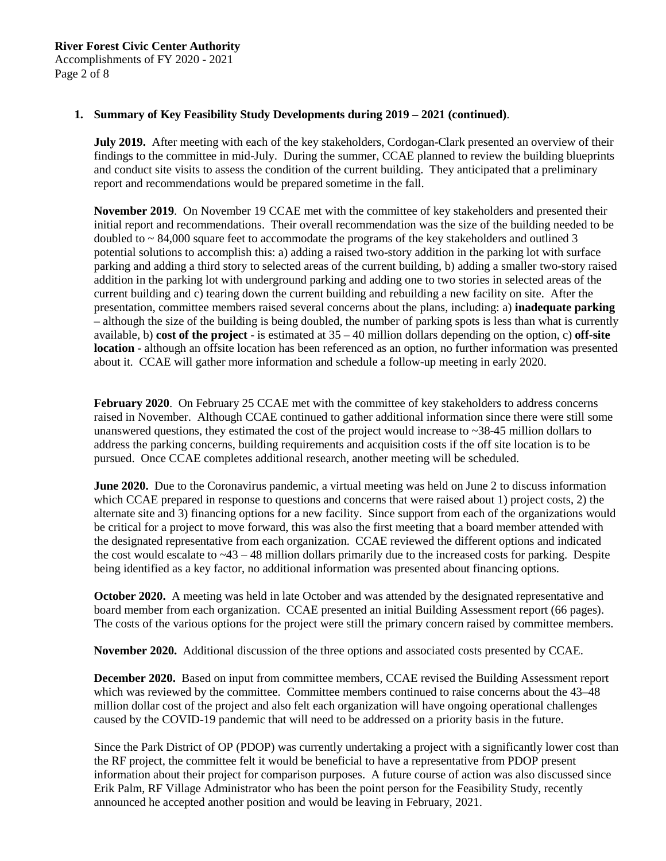Accomplishments of FY 2020 - 2021 Page 2 of 8

## **1. Summary of Key Feasibility Study Developments during 2019 – 2021 (continued)**.

**July 2019.** After meeting with each of the key stakeholders, Cordogan-Clark presented an overview of their findings to the committee in mid-July. During the summer, CCAE planned to review the building blueprints and conduct site visits to assess the condition of the current building. They anticipated that a preliminary report and recommendations would be prepared sometime in the fall.

**November 2019**. On November 19 CCAE met with the committee of key stakeholders and presented their initial report and recommendations. Their overall recommendation was the size of the building needed to be doubled to  $\sim 84,000$  square feet to accommodate the programs of the key stakeholders and outlined 3 potential solutions to accomplish this: a) adding a raised two-story addition in the parking lot with surface parking and adding a third story to selected areas of the current building, b) adding a smaller two-story raised addition in the parking lot with underground parking and adding one to two stories in selected areas of the current building and c) tearing down the current building and rebuilding a new facility on site. After the presentation, committee members raised several concerns about the plans, including: a) **inadequate parking** – although the size of the building is being doubled, the number of parking spots is less than what is currently available, b) **cost of the project** - is estimated at 35 – 40 million dollars depending on the option, c) **off-site location** - although an offsite location has been referenced as an option, no further information was presented about it. CCAE will gather more information and schedule a follow-up meeting in early 2020.

**February 2020**. On February 25 CCAE met with the committee of key stakeholders to address concerns raised in November. Although CCAE continued to gather additional information since there were still some unanswered questions, they estimated the cost of the project would increase to ~38-45 million dollars to address the parking concerns, building requirements and acquisition costs if the off site location is to be pursued. Once CCAE completes additional research, another meeting will be scheduled.

**June** 2020. Due to the Coronavirus pandemic, a virtual meeting was held on June 2 to discuss information which CCAE prepared in response to questions and concerns that were raised about 1) project costs, 2) the alternate site and 3) financing options for a new facility. Since support from each of the organizations would be critical for a project to move forward, this was also the first meeting that a board member attended with the designated representative from each organization. CCAE reviewed the different options and indicated the cost would escalate to ~43 – 48 million dollars primarily due to the increased costs for parking. Despite being identified as a key factor, no additional information was presented about financing options.

**October 2020.** A meeting was held in late October and was attended by the designated representative and board member from each organization. CCAE presented an initial Building Assessment report (66 pages). The costs of the various options for the project were still the primary concern raised by committee members.

**November 2020.** Additional discussion of the three options and associated costs presented by CCAE.

**December 2020.** Based on input from committee members, CCAE revised the Building Assessment report which was reviewed by the committee. Committee members continued to raise concerns about the 43–48 million dollar cost of the project and also felt each organization will have ongoing operational challenges caused by the COVID-19 pandemic that will need to be addressed on a priority basis in the future.

Since the Park District of OP (PDOP) was currently undertaking a project with a significantly lower cost than the RF project, the committee felt it would be beneficial to have a representative from PDOP present information about their project for comparison purposes. A future course of action was also discussed since Erik Palm, RF Village Administrator who has been the point person for the Feasibility Study, recently announced he accepted another position and would be leaving in February, 2021.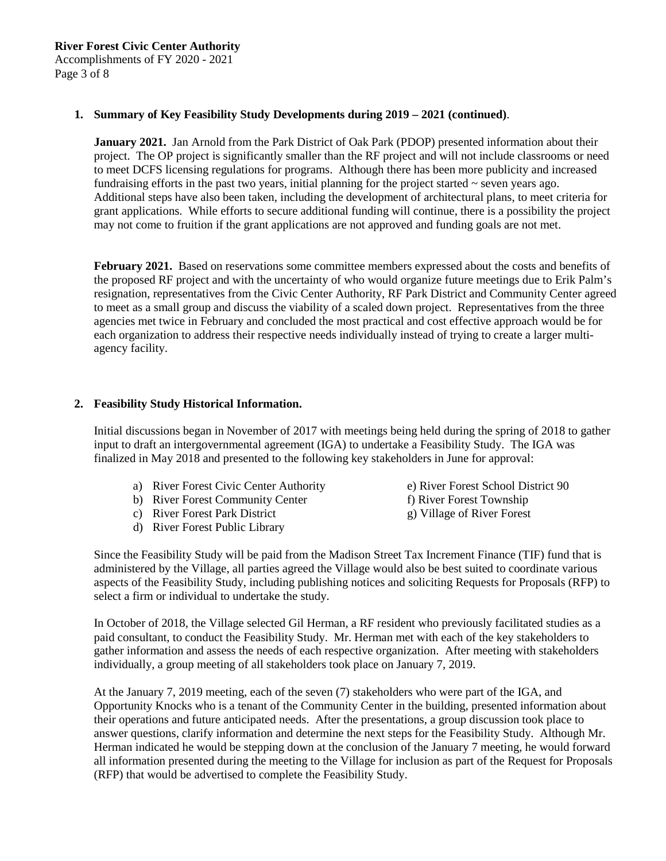# **River Forest Civic Center Authority**

Accomplishments of FY 2020 - 2021 Page 3 of 8

## **1. Summary of Key Feasibility Study Developments during 2019 – 2021 (continued)**.

**January 2021.** Jan Arnold from the Park District of Oak Park (PDOP) presented information about their project. The OP project is significantly smaller than the RF project and will not include classrooms or need to meet DCFS licensing regulations for programs. Although there has been more publicity and increased fundraising efforts in the past two years, initial planning for the project started  $\sim$  seven years ago. Additional steps have also been taken, including the development of architectural plans, to meet criteria for grant applications. While efforts to secure additional funding will continue, there is a possibility the project may not come to fruition if the grant applications are not approved and funding goals are not met.

**February 2021.** Based on reservations some committee members expressed about the costs and benefits of the proposed RF project and with the uncertainty of who would organize future meetings due to Erik Palm's resignation, representatives from the Civic Center Authority, RF Park District and Community Center agreed to meet as a small group and discuss the viability of a scaled down project. Representatives from the three agencies met twice in February and concluded the most practical and cost effective approach would be for each organization to address their respective needs individually instead of trying to create a larger multiagency facility.

## **2. Feasibility Study Historical Information.**

Initial discussions began in November of 2017 with meetings being held during the spring of 2018 to gather input to draft an intergovernmental agreement (IGA) to undertake a Feasibility Study. The IGA was finalized in May 2018 and presented to the following key stakeholders in June for approval:

- a) River Forest Civic Center Authority e) River Forest School District 90
- b) River Forest Community Center f) River Forest Township
- c) River Forest Park District g) Village of River Forest
- d) River Forest Public Library
- 
- 
- 

Since the Feasibility Study will be paid from the Madison Street Tax Increment Finance (TIF) fund that is administered by the Village, all parties agreed the Village would also be best suited to coordinate various aspects of the Feasibility Study, including publishing notices and soliciting Requests for Proposals (RFP) to select a firm or individual to undertake the study.

In October of 2018, the Village selected Gil Herman, a RF resident who previously facilitated studies as a paid consultant, to conduct the Feasibility Study. Mr. Herman met with each of the key stakeholders to gather information and assess the needs of each respective organization. After meeting with stakeholders individually, a group meeting of all stakeholders took place on January 7, 2019.

At the January 7, 2019 meeting, each of the seven (7) stakeholders who were part of the IGA, and Opportunity Knocks who is a tenant of the Community Center in the building, presented information about their operations and future anticipated needs. After the presentations, a group discussion took place to answer questions, clarify information and determine the next steps for the Feasibility Study. Although Mr. Herman indicated he would be stepping down at the conclusion of the January 7 meeting, he would forward all information presented during the meeting to the Village for inclusion as part of the Request for Proposals (RFP) that would be advertised to complete the Feasibility Study.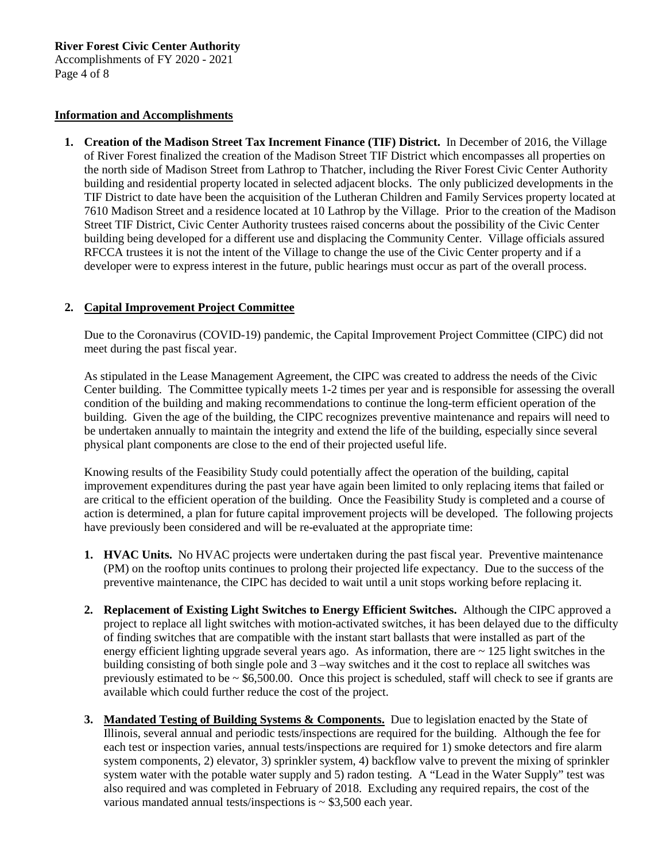**River Forest Civic Center Authority**

Accomplishments of FY 2020 - 2021 Page 4 of 8

#### **Information and Accomplishments**

**1. Creation of the Madison Street Tax Increment Finance (TIF) District.** In December of 2016, the Village of River Forest finalized the creation of the Madison Street TIF District which encompasses all properties on the north side of Madison Street from Lathrop to Thatcher, including the River Forest Civic Center Authority building and residential property located in selected adjacent blocks. The only publicized developments in the TIF District to date have been the acquisition of the Lutheran Children and Family Services property located at 7610 Madison Street and a residence located at 10 Lathrop by the Village. Prior to the creation of the Madison Street TIF District, Civic Center Authority trustees raised concerns about the possibility of the Civic Center building being developed for a different use and displacing the Community Center. Village officials assured RFCCA trustees it is not the intent of the Village to change the use of the Civic Center property and if a developer were to express interest in the future, public hearings must occur as part of the overall process.

# **2. Capital Improvement Project Committee**

Due to the Coronavirus (COVID-19) pandemic, the Capital Improvement Project Committee (CIPC) did not meet during the past fiscal year.

As stipulated in the Lease Management Agreement, the CIPC was created to address the needs of the Civic Center building. The Committee typically meets 1-2 times per year and is responsible for assessing the overall condition of the building and making recommendations to continue the long-term efficient operation of the building. Given the age of the building, the CIPC recognizes preventive maintenance and repairs will need to be undertaken annually to maintain the integrity and extend the life of the building, especially since several physical plant components are close to the end of their projected useful life.

Knowing results of the Feasibility Study could potentially affect the operation of the building, capital improvement expenditures during the past year have again been limited to only replacing items that failed or are critical to the efficient operation of the building. Once the Feasibility Study is completed and a course of action is determined, a plan for future capital improvement projects will be developed. The following projects have previously been considered and will be re-evaluated at the appropriate time:

- **1. HVAC Units.** No HVAC projects were undertaken during the past fiscal year. Preventive maintenance (PM) on the rooftop units continues to prolong their projected life expectancy. Due to the success of the preventive maintenance, the CIPC has decided to wait until a unit stops working before replacing it.
- **2. Replacement of Existing Light Switches to Energy Efficient Switches.** Although the CIPC approved a project to replace all light switches with motion-activated switches, it has been delayed due to the difficulty of finding switches that are compatible with the instant start ballasts that were installed as part of the energy efficient lighting upgrade several years ago. As information, there are  $\sim$  125 light switches in the building consisting of both single pole and 3 –way switches and it the cost to replace all switches was previously estimated to be  $\sim$  \$6,500.00. Once this project is scheduled, staff will check to see if grants are available which could further reduce the cost of the project.
- **3. Mandated Testing of Building Systems & Components.** Due to legislation enacted by the State of Illinois, several annual and periodic tests/inspections are required for the building. Although the fee for each test or inspection varies, annual tests/inspections are required for 1) smoke detectors and fire alarm system components, 2) elevator, 3) sprinkler system, 4) backflow valve to prevent the mixing of sprinkler system water with the potable water supply and 5) radon testing. A "Lead in the Water Supply" test was also required and was completed in February of 2018. Excluding any required repairs, the cost of the various mandated annual tests/inspections is  $\sim$  \$3,500 each year.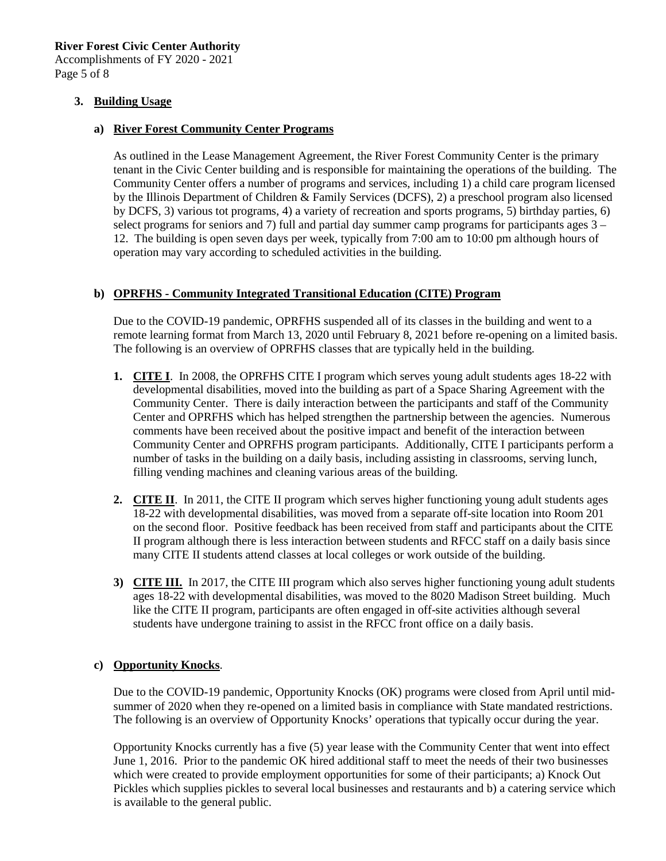**River Forest Civic Center Authority**

Accomplishments of FY 2020 - 2021 Page 5 of 8

## **3. Building Usage**

## **a) River Forest Community Center Programs**

As outlined in the Lease Management Agreement, the River Forest Community Center is the primary tenant in the Civic Center building and is responsible for maintaining the operations of the building. The Community Center offers a number of programs and services, including 1) a child care program licensed by the Illinois Department of Children & Family Services (DCFS), 2) a preschool program also licensed by DCFS, 3) various tot programs, 4) a variety of recreation and sports programs, 5) birthday parties, 6) select programs for seniors and 7) full and partial day summer camp programs for participants ages 3 – 12. The building is open seven days per week, typically from 7:00 am to 10:00 pm although hours of operation may vary according to scheduled activities in the building.

# **b) OPRFHS - Community Integrated Transitional Education (CITE) Program**

Due to the COVID-19 pandemic, OPRFHS suspended all of its classes in the building and went to a remote learning format from March 13, 2020 until February 8, 2021 before re-opening on a limited basis. The following is an overview of OPRFHS classes that are typically held in the building.

- **1. CITE I**. In 2008, the OPRFHS CITE I program which serves young adult students ages 18-22 with developmental disabilities, moved into the building as part of a Space Sharing Agreement with the Community Center. There is daily interaction between the participants and staff of the Community Center and OPRFHS which has helped strengthen the partnership between the agencies. Numerous comments have been received about the positive impact and benefit of the interaction between Community Center and OPRFHS program participants. Additionally, CITE I participants perform a number of tasks in the building on a daily basis, including assisting in classrooms, serving lunch, filling vending machines and cleaning various areas of the building.
- **2. CITE II**. In 2011, the CITE II program which serves higher functioning young adult students ages 18-22 with developmental disabilities, was moved from a separate off-site location into Room 201 on the second floor. Positive feedback has been received from staff and participants about the CITE II program although there is less interaction between students and RFCC staff on a daily basis since many CITE II students attend classes at local colleges or work outside of the building.
- **3) CITE III.** In 2017, the CITE III program which also serves higher functioning young adult students ages 18-22 with developmental disabilities, was moved to the 8020 Madison Street building. Much like the CITE II program, participants are often engaged in off-site activities although several students have undergone training to assist in the RFCC front office on a daily basis.

## **c) Opportunity Knocks**.

Due to the COVID-19 pandemic, Opportunity Knocks (OK) programs were closed from April until midsummer of 2020 when they re-opened on a limited basis in compliance with State mandated restrictions. The following is an overview of Opportunity Knocks' operations that typically occur during the year.

Opportunity Knocks currently has a five (5) year lease with the Community Center that went into effect June 1, 2016. Prior to the pandemic OK hired additional staff to meet the needs of their two businesses which were created to provide employment opportunities for some of their participants; a) Knock Out Pickles which supplies pickles to several local businesses and restaurants and b) a catering service which is available to the general public.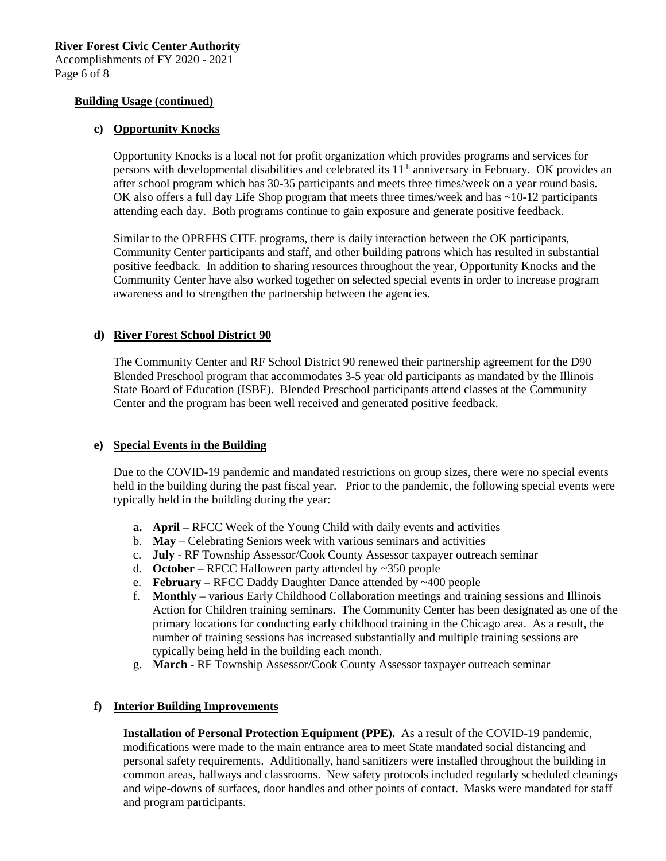Page 6 of 8

# **Building Usage (continued)**

# **c) Opportunity Knocks**

Opportunity Knocks is a local not for profit organization which provides programs and services for persons with developmental disabilities and celebrated its  $11<sup>th</sup>$  anniversary in February. OK provides an after school program which has 30-35 participants and meets three times/week on a year round basis. OK also offers a full day Life Shop program that meets three times/week and has ~10-12 participants attending each day. Both programs continue to gain exposure and generate positive feedback.

Similar to the OPRFHS CITE programs, there is daily interaction between the OK participants, Community Center participants and staff, and other building patrons which has resulted in substantial positive feedback. In addition to sharing resources throughout the year, Opportunity Knocks and the Community Center have also worked together on selected special events in order to increase program awareness and to strengthen the partnership between the agencies.

# **d) River Forest School District 90**

The Community Center and RF School District 90 renewed their partnership agreement for the D90 Blended Preschool program that accommodates 3-5 year old participants as mandated by the Illinois State Board of Education (ISBE). Blended Preschool participants attend classes at the Community Center and the program has been well received and generated positive feedback.

## **e) Special Events in the Building**

Due to the COVID-19 pandemic and mandated restrictions on group sizes, there were no special events held in the building during the past fiscal year. Prior to the pandemic, the following special events were typically held in the building during the year:

- **a. April** RFCC Week of the Young Child with daily events and activities
- b. **May** Celebrating Seniors week with various seminars and activities
- c. **July** RF Township Assessor/Cook County Assessor taxpayer outreach seminar
- d. **October** RFCC Halloween party attended by ~350 people
- e. **February** RFCC Daddy Daughter Dance attended by ~400 people
- f. **Monthly**  various Early Childhood Collaboration meetings and training sessions and Illinois Action for Children training seminars. The Community Center has been designated as one of the primary locations for conducting early childhood training in the Chicago area. As a result, the number of training sessions has increased substantially and multiple training sessions are typically being held in the building each month.
- g. **March** RF Township Assessor/Cook County Assessor taxpayer outreach seminar

# **f) Interior Building Improvements**

**Installation of Personal Protection Equipment (PPE).** As a result of the COVID-19 pandemic, modifications were made to the main entrance area to meet State mandated social distancing and personal safety requirements. Additionally, hand sanitizers were installed throughout the building in common areas, hallways and classrooms. New safety protocols included regularly scheduled cleanings and wipe-downs of surfaces, door handles and other points of contact. Masks were mandated for staff and program participants.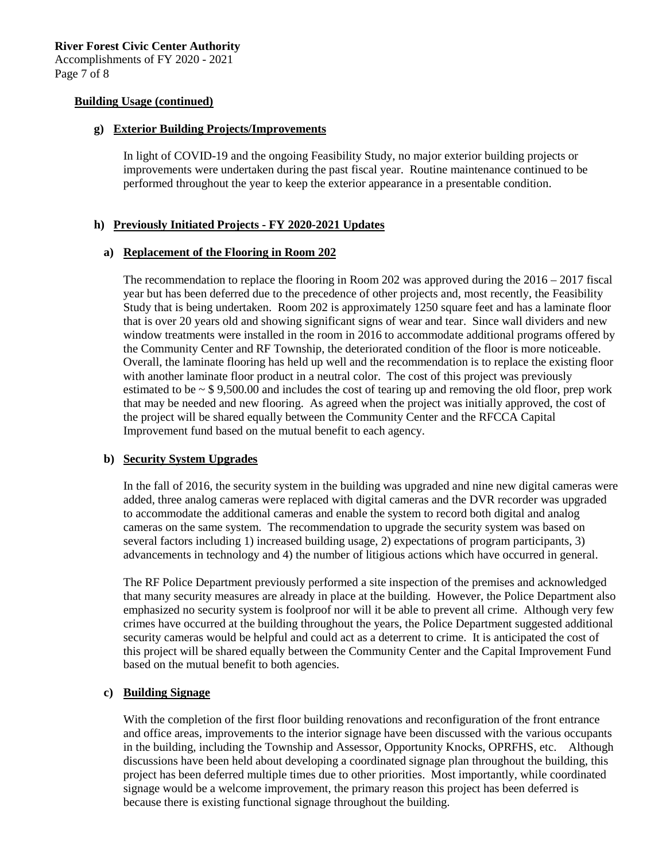#### **Building Usage (continued)**

#### **g) Exterior Building Projects/Improvements**

In light of COVID-19 and the ongoing Feasibility Study, no major exterior building projects or improvements were undertaken during the past fiscal year. Routine maintenance continued to be performed throughout the year to keep the exterior appearance in a presentable condition.

## **h) Previously Initiated Projects - FY 2020-2021 Updates**

#### **a) Replacement of the Flooring in Room 202**

The recommendation to replace the flooring in Room 202 was approved during the 2016 – 2017 fiscal year but has been deferred due to the precedence of other projects and, most recently, the Feasibility Study that is being undertaken. Room 202 is approximately 1250 square feet and has a laminate floor that is over 20 years old and showing significant signs of wear and tear. Since wall dividers and new window treatments were installed in the room in 2016 to accommodate additional programs offered by the Community Center and RF Township, the deteriorated condition of the floor is more noticeable. Overall, the laminate flooring has held up well and the recommendation is to replace the existing floor with another laminate floor product in a neutral color. The cost of this project was previously estimated to be  $\sim$  \$ 9,500.00 and includes the cost of tearing up and removing the old floor, prep work that may be needed and new flooring. As agreed when the project was initially approved, the cost of the project will be shared equally between the Community Center and the RFCCA Capital Improvement fund based on the mutual benefit to each agency.

## **b) Security System Upgrades**

In the fall of 2016, the security system in the building was upgraded and nine new digital cameras were added, three analog cameras were replaced with digital cameras and the DVR recorder was upgraded to accommodate the additional cameras and enable the system to record both digital and analog cameras on the same system. The recommendation to upgrade the security system was based on several factors including 1) increased building usage, 2) expectations of program participants, 3) advancements in technology and 4) the number of litigious actions which have occurred in general.

The RF Police Department previously performed a site inspection of the premises and acknowledged that many security measures are already in place at the building. However, the Police Department also emphasized no security system is foolproof nor will it be able to prevent all crime. Although very few crimes have occurred at the building throughout the years, the Police Department suggested additional security cameras would be helpful and could act as a deterrent to crime. It is anticipated the cost of this project will be shared equally between the Community Center and the Capital Improvement Fund based on the mutual benefit to both agencies.

## **c) Building Signage**

With the completion of the first floor building renovations and reconfiguration of the front entrance and office areas, improvements to the interior signage have been discussed with the various occupants in the building, including the Township and Assessor, Opportunity Knocks, OPRFHS, etc. Although discussions have been held about developing a coordinated signage plan throughout the building, this project has been deferred multiple times due to other priorities. Most importantly, while coordinated signage would be a welcome improvement, the primary reason this project has been deferred is because there is existing functional signage throughout the building.